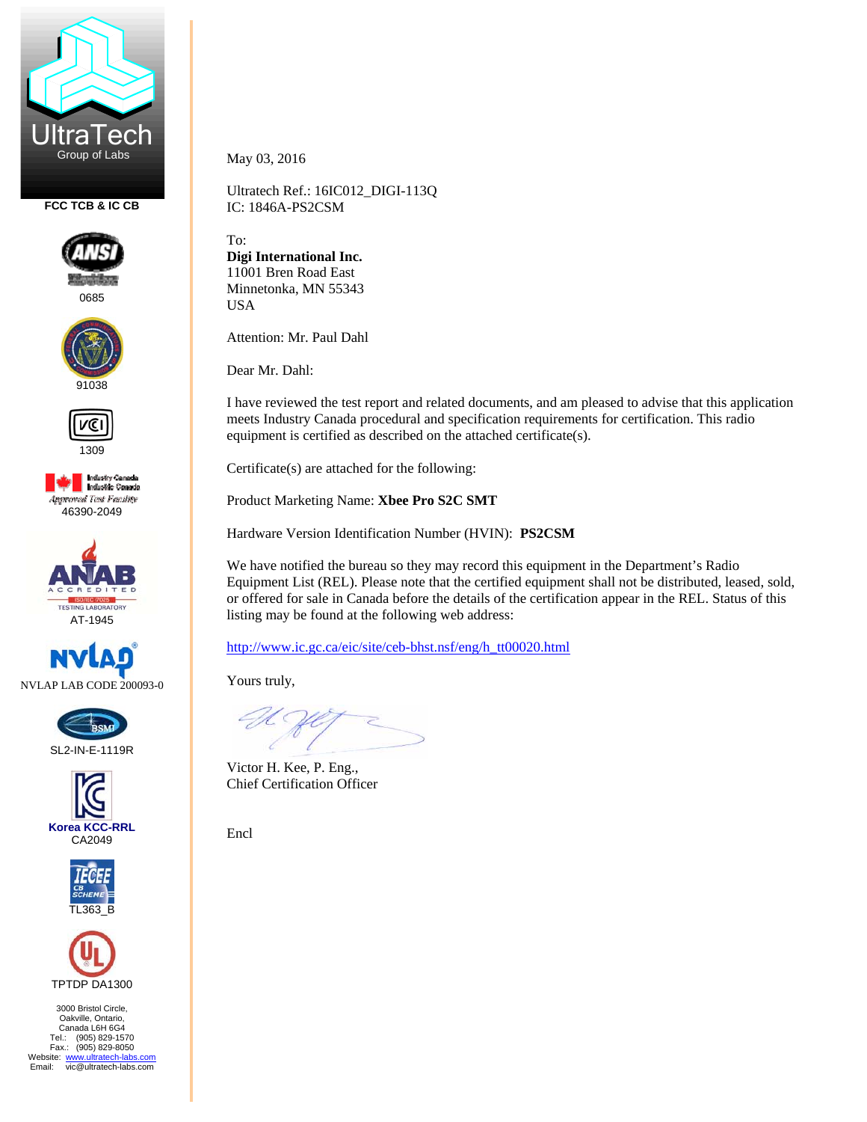

**FCC TCB & IC CB** 



0685





1309







SL2-IN-E-1119R







3000 Bristol Circle, Oakville, Ontario, Canada L6H 6G4 Tel.: (905) 829-1570 Fax.: (905) 829-8050 Website: www.ultratech-labs.com<br>Email: vic@ultratech-labs.com May 03, 2016

Ultratech Ref.: 16IC012\_DIGI-113Q IC: 1846A-PS2CSM

To: **Digi International Inc.**  11001 Bren Road East Minnetonka, MN 55343 USA

Attention: Mr. Paul Dahl

Dear Mr. Dahl:

I have reviewed the test report and related documents, and am pleased to advise that this application meets Industry Canada procedural and specification requirements for certification. This radio equipment is certified as described on the attached certificate(s).

Certificate(s) are attached for the following:

Product Marketing Name: **Xbee Pro S2C SMT** 

Hardware Version Identification Number (HVIN): **PS2CSM** 

We have notified the bureau so they may record this equipment in the Department's Radio Equipment List (REL). Please note that the certified equipment shall not be distributed, leased, sold, or offered for sale in Canada before the details of the certification appear in the REL. Status of this listing may be found at the following web address:

http://www.ic.gc.ca/eic/site/ceb-bhst.nsf/eng/h\_tt00020.html

Yours truly,

Victor H. Kee, P. Eng., Chief Certification Officer

Encl